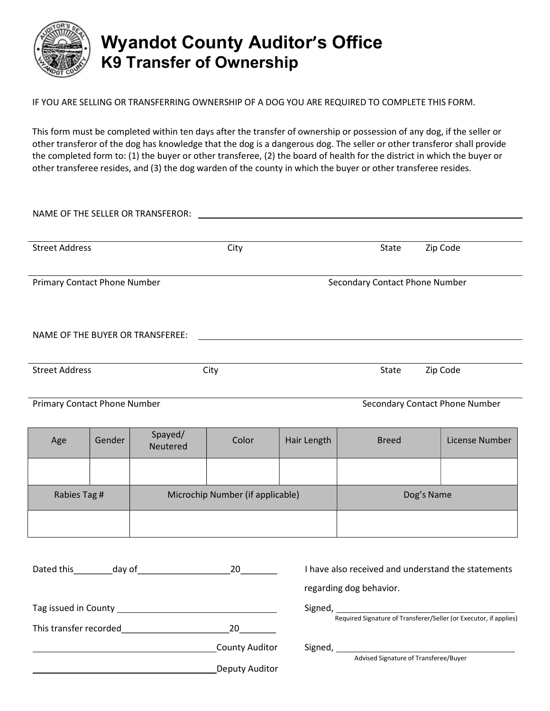

## Wyandot County Auditor's Office K9 Transfer of Ownership

IF YOU ARE SELLING OR TRANSFERRING OWNERSHIP OF A DOG YOU ARE REQUIRED TO COMPLETE THIS FORM.

This form must be completed within ten days after the transfer of ownership or possession of any dog, if the seller or other transferor of the dog has knowledge that the dog is a dangerous dog. The seller or other transferor shall provide the completed form to: (1) the buyer or other transferee, (2) the board of health for the district in which the buyer or other transferee resides, and (3) the dog warden of the county in which the buyer or other transferee resides.

| <b>Street Address</b>                             |        |                                  | City                           |                                                                               | State                                 | Zip Code       |  |
|---------------------------------------------------|--------|----------------------------------|--------------------------------|-------------------------------------------------------------------------------|---------------------------------------|----------------|--|
| <b>Primary Contact Phone Number</b>               |        |                                  | Secondary Contact Phone Number |                                                                               |                                       |                |  |
| NAME OF THE BUYER OR TRANSFEREE:                  |        |                                  |                                |                                                                               |                                       |                |  |
| <b>Street Address</b>                             |        |                                  | City<br>Zip Code<br>State      |                                                                               |                                       |                |  |
| <b>Primary Contact Phone Number</b>               |        |                                  |                                | Secondary Contact Phone Number                                                |                                       |                |  |
| Age                                               | Gender | Spayed/<br>Neutered              | Color                          | Hair Length                                                                   | <b>Breed</b>                          | License Number |  |
|                                                   |        |                                  |                                |                                                                               |                                       |                |  |
| Rabies Tag #                                      |        | Microchip Number (if applicable) |                                |                                                                               | Dog's Name                            |                |  |
|                                                   |        |                                  |                                |                                                                               |                                       |                |  |
|                                                   |        |                                  |                                | I have also received and understand the statements<br>regarding dog behavior. |                                       |                |  |
| This transfer recorded and a set of the 20 and 20 |        |                                  |                                | Required Signature of Transferer/Seller (or Executor, if applies)             |                                       |                |  |
|                                                   |        |                                  | <b>County Auditor</b>          |                                                                               | Advised Signature of Transferee/Buyer |                |  |

Deputy Auditor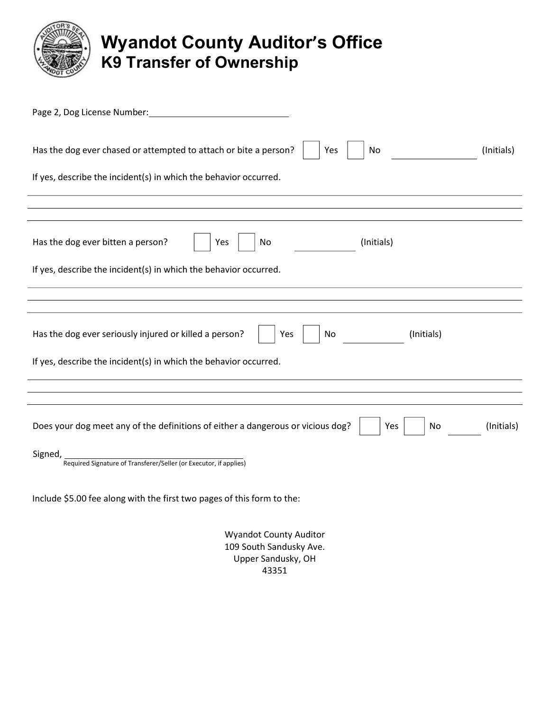

## Wyandot County Auditor's Office K9 Transfer of Ownership

| Page 2, Dog License Number:                                                                                |  |  |  |  |  |  |  |
|------------------------------------------------------------------------------------------------------------|--|--|--|--|--|--|--|
| Has the dog ever chased or attempted to attach or bite a person?<br>No<br>(Initials)<br>Yes                |  |  |  |  |  |  |  |
| If yes, describe the incident(s) in which the behavior occurred.                                           |  |  |  |  |  |  |  |
|                                                                                                            |  |  |  |  |  |  |  |
| Has the dog ever bitten a person?<br>(Initials)<br>Yes<br>No                                               |  |  |  |  |  |  |  |
| If yes, describe the incident(s) in which the behavior occurred.                                           |  |  |  |  |  |  |  |
|                                                                                                            |  |  |  |  |  |  |  |
| Has the dog ever seriously injured or killed a person?<br>(Initials)<br>Yes<br>No                          |  |  |  |  |  |  |  |
| If yes, describe the incident(s) in which the behavior occurred.                                           |  |  |  |  |  |  |  |
|                                                                                                            |  |  |  |  |  |  |  |
| Does your dog meet any of the definitions of either a dangerous or vicious dog?<br>Yes<br>(Initials)<br>No |  |  |  |  |  |  |  |
| Signed,<br>Required Signature of Transferer/Seller (or Executor, if applies)                               |  |  |  |  |  |  |  |
| Include \$5.00 fee along with the first two pages of this form to the:                                     |  |  |  |  |  |  |  |
|                                                                                                            |  |  |  |  |  |  |  |

Wyandot County Auditor 109 South Sandusky Ave. Upper Sandusky, OH 43351